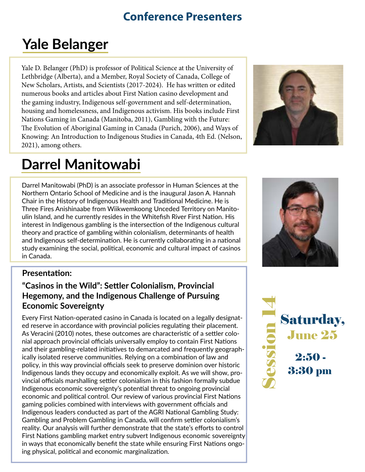# **Conference Presenters**

# **Yale Belanger**

Yale D. Belanger (PhD) is professor of Political Science at the University of Lethbridge (Alberta), and a Member, Royal Society of Canada, College of New Scholars, Artists, and Scientists (2017-2024). He has written or edited numerous books and articles about First Nation casino development and the gaming industry, Indigenous self-government and self-determination, housing and homelessness, and Indigenous activism. His books include First Nations Gaming in Canada (Manitoba, 2011), Gambling with the Future: The Evolution of Aboriginal Gaming in Canada (Purich, 2006), and Ways of Knowing: An Introduction to Indigenous Studies in Canada, 4th Ed. (Nelson, 2021), among others.

# **Darrel Manitowabi**

Darrel Manitowabi (PhD) is an associate professor in Human Sciences at the Northern Ontario School of Medicine and is the inaugural Jason A. Hannah Chair in the History of Indigenous Health and Traditional Medicine. He is Three Fires Anishinaabe from Wiikwemkoong Unceded Territory on Manitoulin Island, and he currently resides in the Whitefish River First Nation. His interest in Indigenous gambling is the intersection of the Indigenous cultural theory and practice of gambling within colonialism, determinants of health and Indigenous self-determination. He is currently collaborating in a national study examining the social, political, economic and cultural impact of casinos in Canada.

### **Presentation:**

# **"Casinos in the Wild": Settler Colonialism, Provincial Hegemony, and the Indigenous Challenge of Pursuing Economic Sovereignty**

Every First Nation-operated casino in Canada is located on a legally designated reserve in accordance with provincial policies regulating their placement. As Veracini (2010) notes, these outcomes are characteristic of a settler colonial approach provincial officials universally employ to contain First Nations and their gambling-related initiatives to demarcated and frequently geographically isolated reserve communities. Relying on a combination of law and policy, in this way provincial officials seek to preserve dominion over historic Indigenous lands they occupy and economically exploit. As we will show, provincial officials marshalling settler colonialism in this fashion formally subdue Indigenous economic sovereignty's potential threat to ongoing provincial economic and political control. Our review of various provincial First Nations gaming policies combined with interviews with government officials and Indigenous leaders conducted as part of the AGRI National Gambling Study: Gambling and Problem Gambling in Canada, will confirm settler colonialism's reality. Our analysis will further demonstrate that the state's efforts to control First Nations gambling market entry subvert Indigenous economic sovereignty in ways that economically benefit the state while ensuring First Nations ongoing physical, political and economic marginalization.



June 25 Saturday, S $\bigcirc$  $\boldsymbol{O}$  $\boldsymbol{O}$  $\bullet\blacksquare$ o  $\blacksquare$  $\blacksquare$ 4 2:50 - 3:30 pm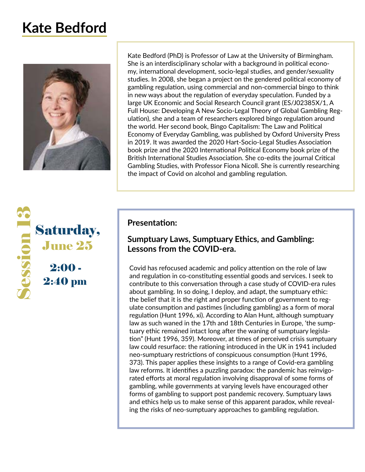# **Kate Bedford**



June 25 Saturday, S $\bigcirc$  $\boldsymbol{O}$  $\boldsymbol{O}$  $\bullet \blacksquare$ o  $\blacksquare$  $\blacksquare$ 62  $2:00 -$ 2:40 pm

Kate Bedford (PhD) is Professor of Law at the University of Birmingham. She is an interdisciplinary scholar with a background in political economy, international development, socio-legal studies, and gender/sexuality studies. In 2008, she began a project on the gendered political economy of gambling regulation, using commercial and non-commercial bingo to think in new ways about the regulation of everyday speculation. Funded by a large UK Economic and Social Research Council grant (ES/J02385X/1, A Full House: Developing A New Socio-Legal Theory of Global Gambling Regulation), she and a team of researchers explored bingo regulation around the world. Her second book, Bingo Capitalism: The Law and Political Economy of Everyday Gambling, was published by Oxford University Press in 2019. It was awarded the 2020 Hart-Socio-Legal Studies Association book prize and the 2020 International Political Economy book prize of the British International Studies Association. She co-edits the journal Critical Gambling Studies, with Professor Fiona Nicoll. She is currently researching the impact of Covid on alcohol and gambling regulation.

### **Presentation:**

# **Sumptuary Laws, Sumptuary Ethics, and Gambling: Lessons from the COVID-era.**

Covid has refocused academic and policy attention on the role of law and regulation in co-constituting essential goods and services. I seek to contribute to this conversation through a case study of COVID-era rules about gambling. In so doing, I deploy, and adapt, the sumptuary ethic: the belief that it is the right and proper function of government to regulate consumption and pastimes (including gambling) as a form of moral regulation (Hunt 1996, xi). According to Alan Hunt, although sumptuary law as such waned in the 17th and 18th Centuries in Europe, 'the sumptuary ethic remained intact long after the waning of sumptuary legislation" (Hunt 1996, 359). Moreover, at times of perceived crisis sumptuary law could resurface: the rationing introduced in the UK in 1941 included neo-sumptuary restrictions of conspicuous consumption (Hunt 1996, 373). This paper applies these insights to a range of Covid-era gambling law reforms. It identifies a puzzling paradox: the pandemic has reinvigorated efforts at moral regulation involving disapproval of some forms of gambling, while governments at varying levels have encouraged other forms of gambling to support post pandemic recovery. Sumptuary laws and ethics help us to make sense of this apparent paradox, while revealing the risks of neo-sumptuary approaches to gambling regulation.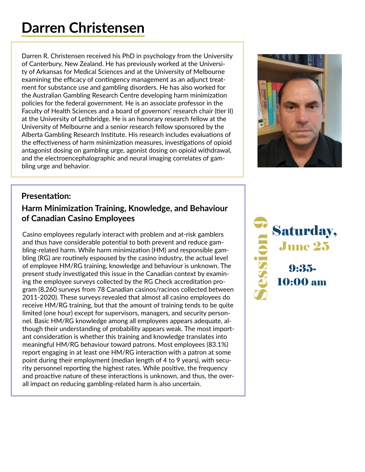# **Darren Christensen**

Darren R. Christensen received his PhD in psychology from the University of Canterbury, New Zealand. He has previously worked at the University of Arkansas for Medical Sciences and at the University of Melbourne examining the efficacy of contingency management as an adjunct treatment for substance use and gambling disorders. He has also worked for the Australian Gambling Research Centre developing harm minimization policies for the federal government. He is an associate professor in the Faculty of Health Sciences and a board of governors' research chair (tier II) at the University of Lethbridge. He is an honorary research fellow at the University of Melbourne and a senior research fellow sponsored by the Alberta Gambling Research Institute. His research includes evaluations of the effectiveness of harm minimization measures, investigations of opioid antagonist dosing on gambling urge, agonist dosing on opioid withdrawal, and the electroencephalographic and neural imaging correlates of gambling urge and behavior.



### **Presentation:**

# **Harm Minimization Training, Knowledge, and Behaviour of Canadian Casino Employees**

Casino employees regularly interact with problem and at-risk gamblers and thus have considerable potential to both prevent and reduce gambling-related harm. While harm minimization (HM) and responsible gambling (RG) are routinely espoused by the casino industry, the actual level of employee HM/RG training, knowledge and behaviour is unknown. The present study investigated this issue in the Canadian context by examining the employee surveys collected by the RG Check accreditation program (8,260 surveys from 78 Canadian casinos/racinos collected between 2011-2020). These surveys revealed that almost all casino employees do receive HM/RG training, but that the amount of training tends to be quite limited (one hour) except for supervisors, managers, and security personnel. Basic HM/RG knowledge among all employees appears adequate, although their understanding of probability appears weak. The most important consideration is whether this training and knowledge translates into meaningful HM/RG behaviour toward patrons. Most employees (83.1%) report engaging in at least one HM/RG interaction with a patron at some point during their employment (median length of 4 to 9 years), with security personnel reporting the highest rates. While positive, the frequency and proactive nature of these interactions is unknown, and thus, the overall impact on reducing gambling-related harm is also uncertain.

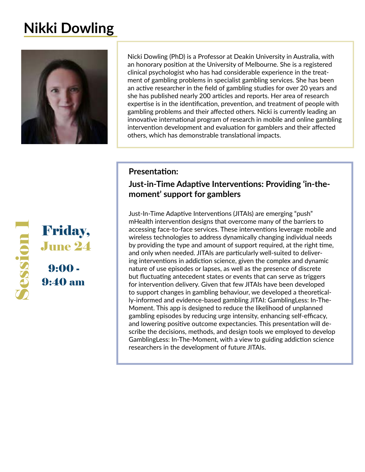# **Nikki Dowling**



Nicki Dowling (PhD) is a Professor at Deakin University in Australia, with an honorary position at the University of Melbourne. She is a registered clinical psychologist who has had considerable experience in the treatment of gambling problems in specialist gambling services. She has been an active researcher in the field of gambling studies for over 20 years and she has published nearly 200 articles and reports. Her area of research expertise is in the identification, prevention, and treatment of people with gambling problems and their affected others. Nicki is currently leading an innovative international program of research in mobile and online gambling intervention development and evaluation for gamblers and their affected others, which has demonstrable translational impacts.

### **Presentation:**

### **Just-in-Time Adaptive Interventions: Providing 'in-themoment' support for gamblers**

Just-In-Time Adaptive Interventions (JITAIs) are emerging "push" mHealth intervention designs that overcome many of the barriers to accessing face-to-face services. These interventions leverage mobile and wireless technologies to address dynamically changing individual needs by providing the type and amount of support required, at the right time, and only when needed. JITAIs are particularly well-suited to delivering interventions in addiction science, given the complex and dynamic nature of use episodes or lapses, as well as the presence of discrete but fluctuating antecedent states or events that can serve as triggers for intervention delivery. Given that few JITAIs have been developed to support changes in gambling behaviour, we developed a theoretically-informed and evidence-based gambling JITAI: GamblingLess: In-The-Moment. This app is designed to reduce the likelihood of unplanned gambling episodes by reducing urge intensity, enhancing self-efficacy, and lowering positive outcome expectancies. This presentation will describe the decisions, methods, and design tools we employed to develop GamblingLess: In-The-Moment, with a view to guiding addiction science researchers in the development of future JITAIs.

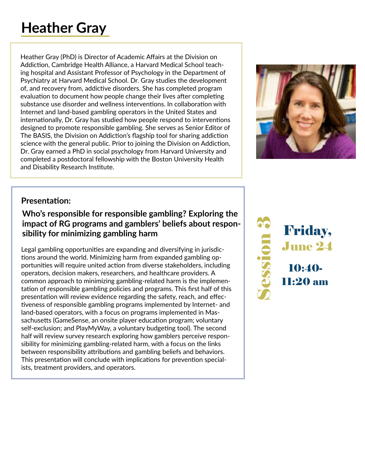# **Heather Gray**

Heather Gray (PhD) is Director of Academic Affairs at the Division on Addiction, Cambridge Health Alliance, a Harvard Medical School teaching hospital and Assistant Professor of Psychology in the Department of Psychiatry at Harvard Medical School. Dr. Gray studies the development of, and recovery from, addictive disorders. She has completed program evaluation to document how people change their lives after completing substance use disorder and wellness interventions. In collaboration with Internet and land-based gambling operators in the United States and internationally, Dr. Gray has studied how people respond to interventions designed to promote responsible gambling. She serves as Senior Editor of The BASIS, the Division on Addiction's flagship tool for sharing addiction science with the general public. Prior to joining the Division on Addiction, Dr. Gray earned a PhD in social psychology from Harvard University and completed a postdoctoral fellowship with the Boston University Health and Disability Research Institute.



# **Presentation:**

# **Who's responsible for responsible gambling? Exploring the impact of RG programs and gamblers' beliefs about responsibility for minimizing gambling harm**

Legal gambling opportunities are expanding and diversifying in jurisdictions around the world. Minimizing harm from expanded gambling opportunities will require united action from diverse stakeholders, including operators, decision makers, researchers, and healthcare providers. A common approach to minimizing gambling-related harm is the implementation of responsible gambling policies and programs. This first half of this presentation will review evidence regarding the safety, reach, and effectiveness of responsible gambling programs implemented by Internet- and land-based operators, with a focus on programs implemented in Massachusetts (GameSense, an onsite player education program; voluntary self-exclusion; and PlayMyWay, a voluntary budgeting tool). The second half will review survey research exploring how gamblers perceive responsibility for minimizing gambling-related harm, with a focus on the links between responsibility attributions and gambling beliefs and behaviors. This presentation will conclude with implications for prevention specialists, treatment providers, and operators.

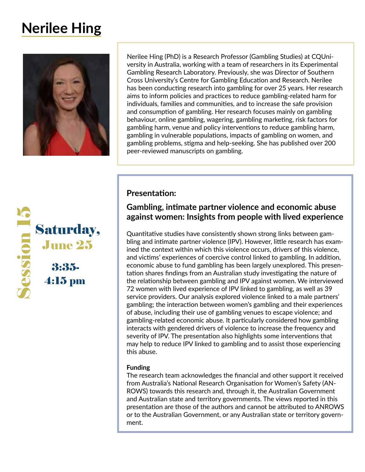# **Nerilee Hing**



Nerilee Hing (PhD) is a Research Professor (Gambling Studies) at CQUniversity in Australia, working with a team of researchers in its Experimental Gambling Research Laboratory. Previously, she was Director of Southern Cross University's Centre for Gambling Education and Research. Nerilee has been conducting research into gambling for over 25 years. Her research aims to inform policies and practices to reduce gambling-related harm for individuals, families and communities, and to increase the safe provision and consumption of gambling. Her research focuses mainly on gambling behaviour, online gambling, wagering, gambling marketing, risk factors for gambling harm, venue and policy interventions to reduce gambling harm, gambling in vulnerable populations, impacts of gambling on women, and gambling problems, stigma and help-seeking. She has published over 200 peer-reviewed manuscripts on gambling.



### **Presentation:**

### **Gambling, intimate partner violence and economic abuse against women: Insights from people with lived experience**

Quantitative studies have consistently shown strong links between gambling and intimate partner violence (IPV). However, little research has examined the context within which this violence occurs, drivers of this violence, and victims' experiences of coercive control linked to gambling. In addition, economic abuse to fund gambling has been largely unexplored. This presentation shares findings from an Australian study investigating the nature of the relationship between gambling and IPV against women. We interviewed 72 women with lived experience of IPV linked to gambling, as well as 39 service providers. Our analysis explored violence linked to a male partners' gambling; the interaction between women's gambling and their experiences of abuse, including their use of gambling venues to escape violence; and gambling-related economic abuse. It particularly considered how gambling interacts with gendered drivers of violence to increase the frequency and severity of IPV. The presentation also highlights some interventions that may help to reduce IPV linked to gambling and to assist those experiencing this abuse.

#### **Funding**

The research team acknowledges the financial and other support it received from Australia's National Research Organisation for Women's Safety (AN-ROWS) towards this research and, through it, the Australian Government and Australian state and territory governments. The views reported in this presentation are those of the authors and cannot be attributed to ANROWS or to the Australian Government, or any Australian state or territory government.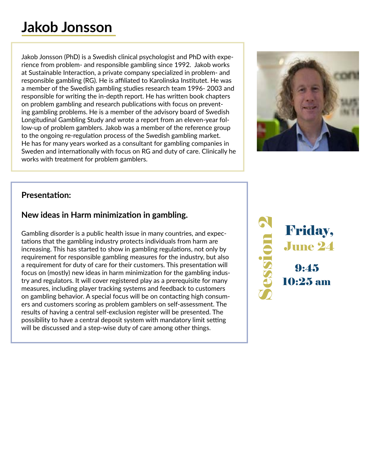# **Jakob Jonsson**

Jakob Jonsson (PhD) is a Swedish clinical psychologist and PhD with experience from problem- and responsible gambling since 1992. Jakob works at Sustainable Interaction, a private company specialized in problem- and responsible gambling (RG). He is affiliated to Karolinska Institutet. He was a member of the Swedish gambling studies research team 1996- 2003 and responsible for writing the in-depth report. He has written book chapters on problem gambling and research publications with focus on preventing gambling problems. He is a member of the advisory board of Swedish Longitudinal Gambling Study and wrote a report from an eleven-year follow-up of problem gamblers. Jakob was a member of the reference group to the ongoing re-regulation process of the Swedish gambling market. He has for many years worked as a consultant for gambling companies in Sweden and internationally with focus on RG and duty of care. Clinically he works with treatment for problem gamblers.



# **Presentation:**

# **New ideas in Harm minimization in gambling.**

Gambling disorder is a public health issue in many countries, and expectations that the gambling industry protects individuals from harm are increasing. This has started to show in gambling regulations, not only by requirement for responsible gambling measures for the industry, but also a requirement for duty of care for their customers. This presentation will focus on (mostly) new ideas in harm minimization for the gambling industry and regulators. It will cover registered play as a prerequisite for many measures, including player tracking systems and feedback to customers on gambling behavior. A special focus will be on contacting high consumers and customers scoring as problem gamblers on self-assessment. The results of having a central self-exclusion register will be presented. The possibility to have a central deposit system with mandatory limit setting will be discussed and a step-wise duty of care among other things.

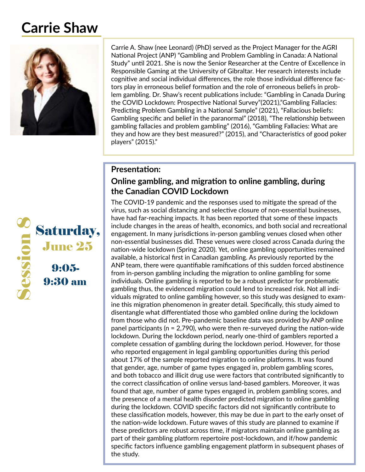# **Carrie Shaw**



Carrie A. Shaw (nee Leonard) (PhD) served as the Project Manager for the AGRI National Project (ANP) "Gambling and Problem Gambling in Canada: A National Study" until 2021. She is now the Senior Researcher at the Centre of Excellence in Responsible Gaming at the University of Gibraltar. Her research interests include cognitive and social individual differences, the role those individual difference factors play in erroneous belief formation and the role of erroneous beliefs in problem gambling. Dr. Shaw's recent publications include: "Gambling in Canada During the COVID Lockdown: Prospective National Survey"(2021),"Gambling Fallacies: Predicting Problem Gambling in a National Sample" (2021), "Fallacious beliefs: Gambling specific and belief in the paranormal" (2018), "The relationship between gambling fallacies and problem gambling" (2016), "Gambling Fallacies: What are they and how are they best measured?" (2015), and "Characteristics of good poker players" (2015)."

### **Presentation:**

### **Online gambling, and migration to online gambling, during the Canadian COVID Lockdown**

The COVID-19 pandemic and the responses used to mitigate the spread of the virus, such as social distancing and selective closure of non-essential businesses, have had far-reaching impacts. It has been reported that some of these impacts include changes in the areas of health, economics, and both social and recreational engagement. In many jurisdictions in-person gambling venues closed when other non-essential businesses did. These venues were closed across Canada during the nation-wide lockdown (Spring 2020). Yet, online gambling opportunities remained available, a historical first in Canadian gambling. As previously reported by the ANP team, there were quantifiable ramifications of this sudden forced abstinence from in-person gambling including the migration to online gambling for some individuals. Online gambling is reported to be a robust predictor for problematic gambling thus, the evidenced migration could lend to increased risk. Not all individuals migrated to online gambling however, so this study was designed to examine this migration phenomenon in greater detail. Specifically, this study aimed to disentangle what differentiated those who gambled online during the lockdown from those who did not. Pre-pandemic baseline data was provided by ANP online panel participants (n = 2,790), who were then re-surveyed during the nation-wide lockdown. During the lockdown period, nearly one-third of gamblers reported a complete cessation of gambling during the lockdown period. However, for those who reported engagement in legal gambling opportunities during this period about 17% of the sample reported migration to online platforms. It was found that gender, age, number of game types engaged in, problem gambling scores, and both tobacco and illicit drug use were factors that contributed significantly to the correct classification of online versus land-based gamblers. Moreover, it was found that age, number of game types engaged in, problem gambling scores, and the presence of a mental health disorder predicted migration to online gambling during the lockdown. COVID specific factors did not significantly contribute to these classification models, however, this may be due in part to the early onset of the nation-wide lockdown. Future waves of this study are planned to examine if these predictors are robust across time, if migrators maintain online gambling as part of their gambling platform repertoire post-lockdown, and if/how pandemic specific factors influence gambling engagement platform in subsequent phases of the study.

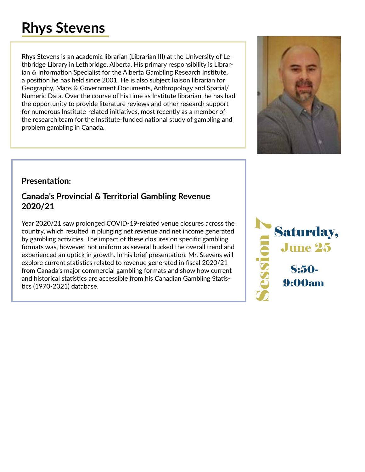# **Rhys Stevens**

Rhys Stevens is an academic librarian (Librarian III) at the University of Lethbridge Library in Lethbridge, Alberta. His primary responsibility is Librarian & Information Specialist for the Alberta Gambling Research Institute, a position he has held since 2001. He is also subject liaison librarian for Geography, Maps & Government Documents, Anthropology and Spatial/ Numeric Data. Over the course of his time as Institute librarian, he has had the opportunity to provide literature reviews and other research support for numerous Institute-related initiatives, most recently as a member of the research team for the Institute-funded national study of gambling and problem gambling in Canada.



# **Presentation:**

### **Canada's Provincial & Territorial Gambling Revenue 2020/21**

Year 2020/21 saw prolonged COVID-19-related venue closures across the country, which resulted in plunging net revenue and net income generated by gambling activities. The impact of these closures on specific gambling formats was, however, not uniform as several bucked the overall trend and experienced an uptick in growth. In his brief presentation, Mr. Stevens will explore current statistics related to revenue generated in fiscal 2020/21 from Canada's major commercial gambling formats and show how current and historical statistics are accessible from his Canadian Gambling Statistics (1970-2021) database.

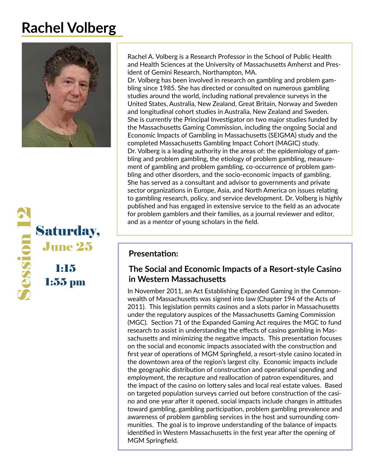# **Rachel Volberg**





Rachel A. Volberg is a Research Professor in the School of Public Health and Health Sciences at the University of Massachusetts Amherst and President of Gemini Research, Northampton, MA.

Dr. Volberg has been involved in research on gambling and problem gambling since 1985. She has directed or consulted on numerous gambling studies around the world, including national prevalence surveys in the United States, Australia, New Zealand, Great Britain, Norway and Sweden and longitudinal cohort studies in Australia, New Zealand and Sweden. She is currently the Principal Investigator on two major studies funded by the Massachusetts Gaming Commission, including the ongoing Social and Economic Impacts of Gambling in Massachusetts (SEIGMA) study and the completed Massachusetts Gambling Impact Cohort (MAGIC) study. Dr. Volberg is a leading authority in the areas of: the epidemiology of gambling and problem gambling, the etiology of problem gambling, measurement of gambling and problem gambling, co-occurrence of problem gambling and other disorders, and the socio-economic impacts of gambling. She has served as a consultant and advisor to governments and private sector organizations in Europe, Asia, and North America on issues relating to gambling research, policy, and service development. Dr. Volberg is highly published and has engaged in extensive service to the field as an advocate for problem gamblers and their families, as a journal reviewer and editor, and as a mentor of young scholars in the field.

# **The Social and Economic Impacts of a Resort-style Casino in Western Massachusetts**

In November 2011, an Act Establishing Expanded Gaming in the Commonwealth of Massachusetts was signed into law (Chapter 194 of the Acts of 2011). This legislation permits casinos and a slots parlor in Massachusetts under the regulatory auspices of the Massachusetts Gaming Commission (MGC). Section 71 of the Expanded Gaming Act requires the MGC to fund research to assist in understanding the effects of casino gambling in Massachusetts and minimizing the negative impacts. This presentation focuses on the social and economic impacts associated with the construction and first year of operations of MGM Springfield, a resort-style casino located in the downtown area of the region's largest city. Economic impacts include the geographic distribution of construction and operational spending and employment, the recapture and reallocation of patron expenditures, and the impact of the casino on lottery sales and local real estate values. Based on targeted population surveys carried out before construction of the casino and one year after it opened, social impacts include changes in attitudes toward gambling, gambling participation, problem gambling prevalence and awareness of problem gambling services in the host and surrounding communities. The goal is to improve understanding of the balance of impacts identified in Western Massachusetts in the first year after the opening of MGM Springfield.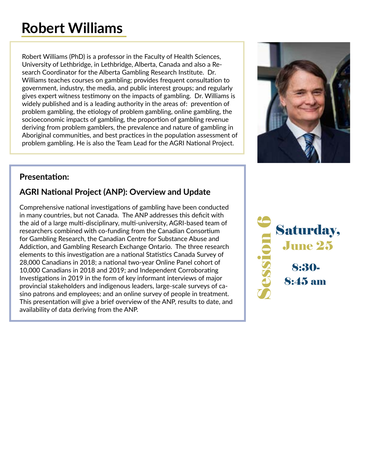# **Robert Williams**

Robert Williams (PhD) is a professor in the Faculty of Health Sciences, University of Lethbridge, in Lethbridge, Alberta, Canada and also a Research Coordinator for the Alberta Gambling Research Institute. Dr. Williams teaches courses on gambling; provides frequent consultation to government, industry, the media, and public interest groups; and regularly gives expert witness testimony on the impacts of gambling. Dr. Williams is widely published and is a leading authority in the areas of: prevention of problem gambling, the etiology of problem gambling, online gambling, the socioeconomic impacts of gambling, the proportion of gambling revenue deriving from problem gamblers, the prevalence and nature of gambling in Aboriginal communities, and best practices in the population assessment of problem gambling. He is also the Team Lead for the AGRI National Project.



# **Presentation:**

# **AGRI National Project (ANP): Overview and Update**

Comprehensive national investigations of gambling have been conducted in many countries, but not Canada. The ANP addresses this deficit with the aid of a large multi-disciplinary, multi-university, AGRI-based team of researchers combined with co-funding from the Canadian Consortium for Gambling Research, the Canadian Centre for Substance Abuse and Addiction, and Gambling Research Exchange Ontario. The three research elements to this investigation are a national Statistics Canada Survey of 28,000 Canadians in 2018; a national two-year Online Panel cohort of 10,000 Canadians in 2018 and 2019; and Independent Corroborating Investigations in 2019 in the form of key informant interviews of major provincial stakeholders and indigenous leaders, large-scale surveys of casino patrons and employees; and an online survey of people in treatment. This presentation will give a brief overview of the ANP, results to date, and availability of data deriving from the ANP.

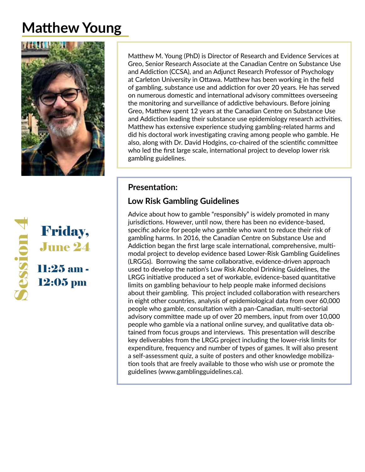# **Matthew Young**





Matthew M. Young (PhD) is Director of Research and Evidence Services at Greo, Senior Research Associate at the Canadian Centre on Substance Use and Addiction (CCSA), and an Adjunct Research Professor of Psychology at Carleton University in Ottawa. Matthew has been working in the field of gambling, substance use and addiction for over 20 years. He has served on numerous domestic and international advisory committees overseeing the monitoring and surveillance of addictive behaviours. Before joining Greo, Matthew spent 12 years at the Canadian Centre on Substance Use and Addiction leading their substance use epidemiology research activities. Matthew has extensive experience studying gambling-related harms and did his doctoral work investigating craving among people who gamble. He also, along with Dr. David Hodgins, co-chaired of the scientific committee who led the first large scale, international project to develop lower risk gambling guidelines.

### **Presentation:**

# **Low Risk Gambling Guidelines**

Advice about how to gamble "responsibly" is widely promoted in many jurisdictions. However, until now, there has been no evidence-based, specific advice for people who gamble who want to reduce their risk of gambling harms. In 2016, the Canadian Centre on Substance Use and Addiction began the first large scale international, comprehensive, multimodal project to develop evidence based Lower-Risk Gambling Guidelines (LRGGs). Borrowing the same collaborative, evidence-driven approach used to develop the nation's Low Risk Alcohol Drinking Guidelines, the LRGG initiative produced a set of workable, evidence-based quantitative limits on gambling behaviour to help people make informed decisions about their gambling. This project included collaboration with researchers in eight other countries, analysis of epidemiological data from over 60,000 people who gamble, consultation with a pan-Canadian, multi-sectorial advisory committee made up of over 20 members, input from over 10,000 people who gamble via a national online survey, and qualitative data obtained from focus groups and interviews. This presentation will describe key deliverables from the LRGG project including the lower-risk limits for expenditure, frequency and number of types of games. It will also present a self-assessment quiz, a suite of posters and other knowledge mobilization tools that are freely available to those who wish use or promote the guidelines (www.gamblingguidelines.ca).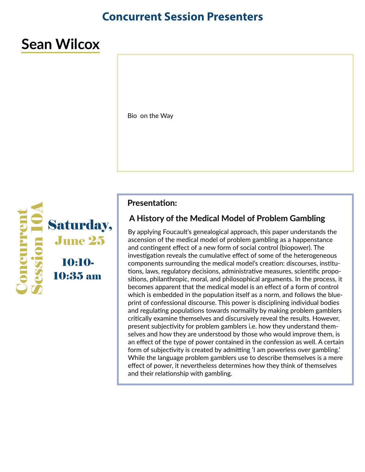# **Concurrent Session Presenters**

# **Sean Wilcox**

Bio on the Way



#### **Presentation:**

### **A History of the Medical Model of Problem Gambling**

By applying Foucault's genealogical approach, this paper understands the ascension of the medical model of problem gambling as a happenstance and contingent effect of a new form of social control (biopower). The investigation reveals the cumulative effect of some of the heterogeneous components surrounding the medical model's creation: discourses, institutions, laws, regulatory decisions, administrative measures, scientific propositions, philanthropic, moral, and philosophical arguments. In the process, it becomes apparent that the medical model is an effect of a form of control which is embedded in the population itself as a norm, and follows the blueprint of confessional discourse. This power is disciplining individual bodies and regulating populations towards normality by making problem gamblers critically examine themselves and discursively reveal the results. However, present subjectivity for problem gamblers i.e. how they understand themselves and how they are understood by those who would improve them, is an effect of the type of power contained in the confession as well. A certain form of subjectivity is created by admitting 'I am powerless over gambling.' While the language problem gamblers use to describe themselves is a mere effect of power, it nevertheless determines how they think of themselves and their relationship with gambling.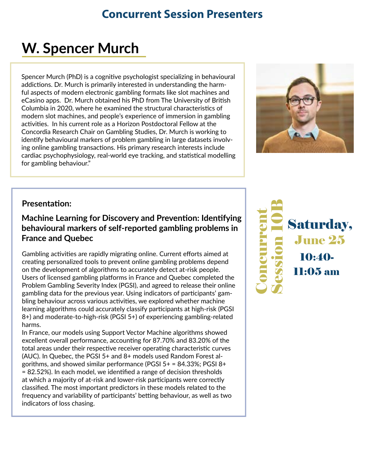# **Concurrent Session Presenters**

# **W. Spencer Murch**

Spencer Murch (PhD) is a cognitive psychologist specializing in behavioural addictions. Dr. Murch is primarily interested in understanding the harmful aspects of modern electronic gambling formats like slot machines and eCasino apps. Dr. Murch obtained his PhD from The University of British Columbia in 2020, where he examined the structural characteristics of modern slot machines, and people's experience of immersion in gambling activities. In his current role as a Horizon Postdoctoral Fellow at the Concordia Research Chair on Gambling Studies, Dr. Murch is working to identify behavioural markers of problem gambling in large datasets involving online gambling transactions. His primary research interests include cardiac psychophysiology, real-world eye tracking, and statistical modelling for gambling behaviour."



### **Presentation:**

**Machine Learning for Discovery and Prevention: Identifying behavioural markers of self-reported gambling problems in France and Quebec**

Gambling activities are rapidly migrating online. Current efforts aimed at creating personalized tools to prevent online gambling problems depend on the development of algorithms to accurately detect at-risk people. Users of licensed gambling platforms in France and Quebec completed the Problem Gambling Severity Index (PGSI), and agreed to release their online gambling data for the previous year. Using indicators of participants' gambling behaviour across various activities, we explored whether machine learning algorithms could accurately classify participants at high-risk (PGSI 8+) and moderate-to-high-risk (PGSI 5+) of experiencing gambling-related harms.

In France, our models using Support Vector Machine algorithms showed excellent overall performance, accounting for 87.70% and 83.20% of the total areas under their respective receiver operating characteristic curves (AUC). In Quebec, the PGSI 5+ and 8+ models used Random Forest algorithms, and showed similar performance (PGSI  $5+ = 84.33\%$ ; PGSI  $8+$ = 82.52%). In each model, we identified a range of decision thresholds at which a majority of at-risk and lower-risk participants were correctly classified. The most important predictors in these models related to the frequency and variability of participants' betting behaviour, as well as two indicators of loss chasing.

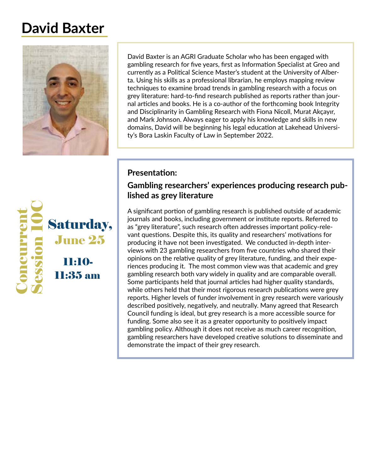# **David Baxter**



David Baxter is an AGRI Graduate Scholar who has been engaged with gambling research for five years, first as Information Specialist at Greo and currently as a Political Science Master's student at the University of Alberta. Using his skills as a professional librarian, he employs mapping review techniques to examine broad trends in gambling research with a focus on grey literature: hard-to-find research published as reports rather than journal articles and books. He is a co-author of the forthcoming book Integrity and Disciplinarity in Gambling Research with Fiona Nicoll, Murat Akçayır, and Mark Johnson. Always eager to apply his knowledge and skills in new domains, David will be beginning his legal education at Lakehead University's Bora Laskin Faculty of Law in September 2022.



# **Presentation:**

## **Gambling researchers' experiences producing research published as grey literature**

A significant portion of gambling research is published outside of academic journals and books, including government or institute reports. Referred to as "grey literature", such research often addresses important policy-relevant questions. Despite this, its quality and researchers' motivations for producing it have not been investigated. We conducted in-depth interviews with 23 gambling researchers from five countries who shared their opinions on the relative quality of grey literature, funding, and their experiences producing it. The most common view was that academic and grey gambling research both vary widely in quality and are comparable overall. Some participants held that journal articles had higher quality standards, while others held that their most rigorous research publications were grey reports. Higher levels of funder involvement in grey research were variously described positively, negatively, and neutrally. Many agreed that Research Council funding is ideal, but grey research is a more accessible source for funding. Some also see it as a greater opportunity to positively impact gambling policy. Although it does not receive as much career recognition, gambling researchers have developed creative solutions to disseminate and demonstrate the impact of their grey research.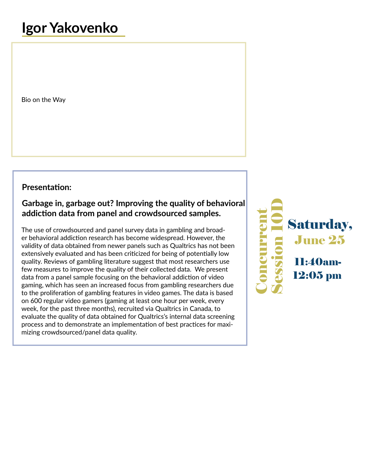Bio on the Way

### **Presentation:**

# **Garbage in, garbage out? Improving the quality of behavioral addiction data from panel and crowdsourced samples.**

The use of crowdsourced and panel survey data in gambling and broader behavioral addiction research has become widespread. However, the validity of data obtained from newer panels such as Qualtrics has not been extensively evaluated and has been criticized for being of potentially low quality. Reviews of gambling literature suggest that most researchers use few measures to improve the quality of their collected data. We present data from a panel sample focusing on the behavioral addiction of video gaming, which has seen an increased focus from gambling researchers due to the proliferation of gambling features in video games. The data is based on 600 regular video gamers (gaming at least one hour per week, every week, for the past three months), recruited via Qualtrics in Canada, to evaluate the quality of data obtained for Qualtrics's internal data screening process and to demonstrate an implementation of best practices for maximizing crowdsourced/panel data quality.

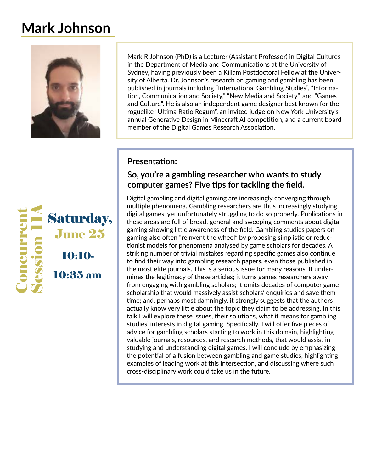# **Mark Johnson**



Mark R Johnson (PhD) is a Lecturer (Assistant Professor) in Digital Cultures in the Department of Media and Communications at the University of Sydney, having previously been a Killam Postdoctoral Fellow at the University of Alberta. Dr. Johnson's research on gaming and gambling has been published in journals including "International Gambling Studies", "Information, Communication and Society," "New Media and Society", and "Games and Culture". He is also an independent game designer best known for the roguelike "Ultima Ratio Regum", an invited judge on New York University's annual Generative Design in Minecraft AI competition, and a current board member of the Digital Games Research Association.

# **Presentation:**

### **So, you're a gambling researcher who wants to study computer games? Five tips for tackling the field.**

Digital gambling and digital gaming are increasingly converging through multiple phenomena. Gambling researchers are thus increasingly studying digital games, yet unfortunately struggling to do so properly. Publications in these areas are full of broad, general and sweeping comments about digital gaming showing little awareness of the field. Gambling studies papers on gaming also often "reinvent the wheel" by proposing simplistic or reductionist models for phenomena analysed by game scholars for decades. A striking number of trivial mistakes regarding specific games also continue to find their way into gambling research papers, even those published in the most elite journals. This is a serious issue for many reasons. It undermines the legitimacy of these articles; it turns games researchers away from engaging with gambling scholars; it omits decades of computer game scholarship that would massively assist scholars' enquiries and save them time; and, perhaps most damningly, it strongly suggests that the authors actually know very little about the topic they claim to be addressing. In this talk I will explore these issues, their solutions, what it means for gambling studies' interests in digital gaming. Specifically, I will offer five pieces of advice for gambling scholars starting to work in this domain, highlighting valuable journals, resources, and research methods, that would assist in studying and understanding digital games. I will conclude by emphasizing the potential of a fusion between gambling and game studies, highlighting examples of leading work at this intersection, and discussing where such cross-disciplinary work could take us in the future.

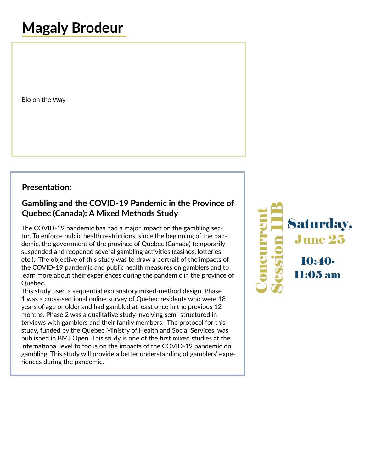# **Magaly Brodeur**

Bio on the Way

### **Presentation:**

## **Gambling and the COVID-19 Pandemic in the Province of Quebec (Canada): A Mixed Methods Study**

The COVID-19 pandemic has had a major impact on the gambling sector. To enforce public health restrictions, since the beginning of the pandemic, the government of the province of Quebec (Canada) temporarily suspended and reopened several gambling activities (casinos, lotteries, etc.). The objective of this study was to draw a portrait of the impacts of the COVID-19 pandemic and public health measures on gamblers and to learn more about their experiences during the pandemic in the province of Quebec.

This study used a sequential explanatory mixed-method design. Phase 1 was a cross-sectional online survey of Quebec residents who were 18 years of age or older and had gambled at least once in the previous 12 months. Phase 2 was a qualitative study involving semi-structured interviews with gamblers and their family members. The protocol for this study, funded by the Quebec Ministry of Health and Social Services, was published in BMJ Open. This study is one of the first mixed studies at the international level to focus on the impacts of the COVID-19 pandemic on gambling. This study will provide a better understanding of gamblers' experiences during the pandemic.

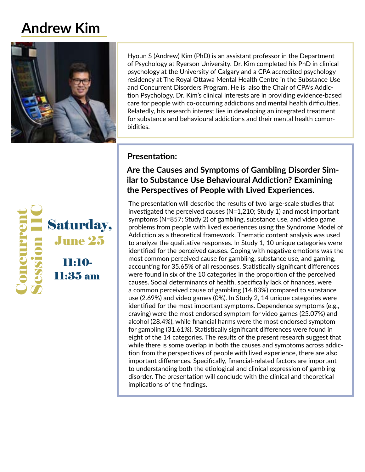# **Andrew Kim**



Hyoun S (Andrew) Kim (PhD) is an assistant professor in the Department of Psychology at Ryerson University. Dr. Kim completed his PhD in clinical psychology at the University of Calgary and a CPA accredited psychology residency at The Royal Ottawa Mental Health Centre in the Substance Use and Concurrent Disorders Program. He is also the Chair of CPA's Addiction Psychology. Dr. Kim's clinical interests are in providing evidence-based care for people with co-occurring addictions and mental health difficulties. Relatedly, his research interest lies in developing an integrated treatment for substance and behavioural addictions and their mental health comorbidities.



### **Presentation:**

# **Are the Causes and Symptoms of Gambling Disorder Similar to Substance Use Behavioural Addiction? Examining the Perspectives of People with Lived Experiences.**

The presentation will describe the results of two large-scale studies that investigated the perceived causes (N=1,210; Study 1) and most important symptoms (N=857; Study 2) of gambling, substance use, and video game problems from people with lived experiences using the Syndrome Model of Addiction as a theoretical framework. Thematic content analysis was used to analyze the qualitative responses. In Study 1, 10 unique categories were identified for the perceived causes. Coping with negative emotions was the most common perceived cause for gambling, substance use, and gaming, accounting for 35.65% of all responses. Statistically significant differences were found in six of the 10 categories in the proportion of the perceived causes. Social determinants of health, specifically lack of finances, were a common perceived cause of gambling (14.83%) compared to substance use (2.69%) and video games (0%). In Study 2, 14 unique categories were identified for the most important symptoms. Dependence symptoms (e.g., craving) were the most endorsed symptom for video games (25.07%) and alcohol (28.4%), while financial harms were the most endorsed symptom for gambling (31.61%). Statistically significant differences were found in eight of the 14 categories. The results of the present research suggest that while there is some overlap in both the causes and symptoms across addiction from the perspectives of people with lived experience, there are also important differences. Specifically, financial-related factors are important to understanding both the etiological and clinical expression of gambling disorder. The presentation will conclude with the clinical and theoretical implications of the findings.